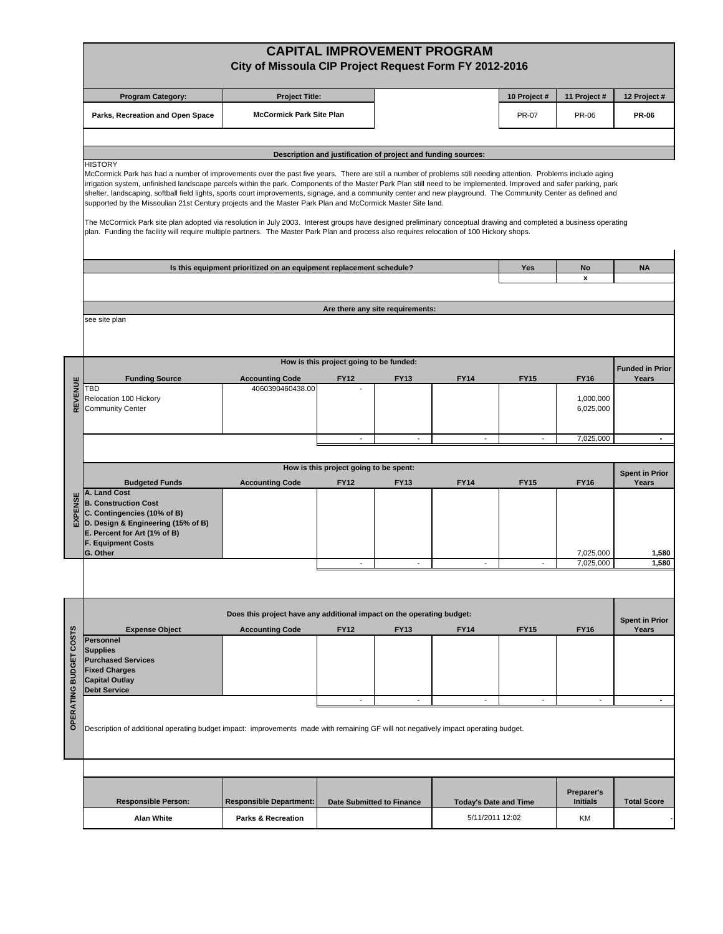|                                                                                                                                                         |                                                                                                                                                                                                                                                                                                                                                                                                                                                                                                                                                                                                                                                                                                                                                                                                                                                                                                                                                            | City of Missoula CIP Project Request Form FY 2012-2016                |                                         |                                                               | <b>CAPITAL IMPROVEMENT PROGRAM</b> |                          |                               |                                |  |
|---------------------------------------------------------------------------------------------------------------------------------------------------------|------------------------------------------------------------------------------------------------------------------------------------------------------------------------------------------------------------------------------------------------------------------------------------------------------------------------------------------------------------------------------------------------------------------------------------------------------------------------------------------------------------------------------------------------------------------------------------------------------------------------------------------------------------------------------------------------------------------------------------------------------------------------------------------------------------------------------------------------------------------------------------------------------------------------------------------------------------|-----------------------------------------------------------------------|-----------------------------------------|---------------------------------------------------------------|------------------------------------|--------------------------|-------------------------------|--------------------------------|--|
|                                                                                                                                                         | <b>Program Category:</b>                                                                                                                                                                                                                                                                                                                                                                                                                                                                                                                                                                                                                                                                                                                                                                                                                                                                                                                                   | <b>Project Title:</b>                                                 |                                         |                                                               |                                    | 10 Project #             | 11 Project #                  | 12 Project #                   |  |
|                                                                                                                                                         | Parks, Recreation and Open Space                                                                                                                                                                                                                                                                                                                                                                                                                                                                                                                                                                                                                                                                                                                                                                                                                                                                                                                           | <b>McCormick Park Site Plan</b>                                       |                                         |                                                               |                                    | <b>PR-07</b>             | PR-06                         | <b>PR-06</b>                   |  |
|                                                                                                                                                         |                                                                                                                                                                                                                                                                                                                                                                                                                                                                                                                                                                                                                                                                                                                                                                                                                                                                                                                                                            |                                                                       |                                         |                                                               |                                    |                          |                               |                                |  |
|                                                                                                                                                         |                                                                                                                                                                                                                                                                                                                                                                                                                                                                                                                                                                                                                                                                                                                                                                                                                                                                                                                                                            |                                                                       |                                         | Description and justification of project and funding sources: |                                    |                          |                               |                                |  |
|                                                                                                                                                         | <b>HISTORY</b><br>McCormick Park has had a number of improvements over the past five years. There are still a number of problems still needing attention. Problems include aging<br>irrigation system, unfinished landscape parcels within the park. Components of the Master Park Plan still need to be implemented. Improved and safer parking, park<br>shelter, landscaping, softball field lights, sports court improvements, signage, and a community center and new playground. The Community Center as defined and<br>supported by the Missoulian 21st Century projects and the Master Park Plan and McCormick Master Site land.<br>The McCormick Park site plan adopted via resolution in July 2003. Interest groups have designed preliminary conceptual drawing and completed a business operating<br>plan. Funding the facility will require multiple partners. The Master Park Plan and process also requires relocation of 100 Hickory shops. |                                                                       |                                         |                                                               |                                    |                          |                               |                                |  |
|                                                                                                                                                         |                                                                                                                                                                                                                                                                                                                                                                                                                                                                                                                                                                                                                                                                                                                                                                                                                                                                                                                                                            | Is this equipment prioritized on an equipment replacement schedule?   |                                         |                                                               |                                    | Yes                      | No                            | <b>NA</b>                      |  |
|                                                                                                                                                         |                                                                                                                                                                                                                                                                                                                                                                                                                                                                                                                                                                                                                                                                                                                                                                                                                                                                                                                                                            |                                                                       |                                         |                                                               |                                    |                          | $\mathbf{x}$                  |                                |  |
|                                                                                                                                                         |                                                                                                                                                                                                                                                                                                                                                                                                                                                                                                                                                                                                                                                                                                                                                                                                                                                                                                                                                            |                                                                       |                                         |                                                               |                                    |                          |                               |                                |  |
|                                                                                                                                                         | see site plan                                                                                                                                                                                                                                                                                                                                                                                                                                                                                                                                                                                                                                                                                                                                                                                                                                                                                                                                              |                                                                       |                                         | Are there any site requirements:                              |                                    |                          |                               |                                |  |
|                                                                                                                                                         |                                                                                                                                                                                                                                                                                                                                                                                                                                                                                                                                                                                                                                                                                                                                                                                                                                                                                                                                                            |                                                                       | How is this project going to be funded: |                                                               |                                    |                          |                               | <b>Funded in Prior</b>         |  |
|                                                                                                                                                         | <b>Funding Source</b><br>TBD                                                                                                                                                                                                                                                                                                                                                                                                                                                                                                                                                                                                                                                                                                                                                                                                                                                                                                                               | <b>Accounting Code</b><br>4060390460438.00                            | <b>FY12</b>                             | <b>FY13</b>                                                   | <b>FY14</b>                        | <b>FY15</b>              | <b>FY16</b>                   | Years                          |  |
| REVENUE                                                                                                                                                 | Relocation 100 Hickory<br><b>Community Center</b>                                                                                                                                                                                                                                                                                                                                                                                                                                                                                                                                                                                                                                                                                                                                                                                                                                                                                                          |                                                                       |                                         |                                                               |                                    |                          | 1,000,000<br>6,025,000        |                                |  |
|                                                                                                                                                         |                                                                                                                                                                                                                                                                                                                                                                                                                                                                                                                                                                                                                                                                                                                                                                                                                                                                                                                                                            |                                                                       | $\overline{a}$                          | $\overline{a}$                                                | $\overline{\phantom{a}}$           |                          | 7,025,000                     |                                |  |
|                                                                                                                                                         |                                                                                                                                                                                                                                                                                                                                                                                                                                                                                                                                                                                                                                                                                                                                                                                                                                                                                                                                                            |                                                                       |                                         |                                                               |                                    |                          |                               |                                |  |
|                                                                                                                                                         |                                                                                                                                                                                                                                                                                                                                                                                                                                                                                                                                                                                                                                                                                                                                                                                                                                                                                                                                                            |                                                                       | How is this project going to be spent:  |                                                               |                                    |                          |                               | <b>Spent in Prior</b>          |  |
| EXPENSE                                                                                                                                                 | <b>Budgeted Funds</b><br>A. Land Cost<br><b>B. Construction Cost</b><br>C. Contingencies (10% of B)<br>D. Design & Engineering (15% of B)<br>E. Percent for Art (1% of B)<br><b>F. Equipment Costs</b><br>G. Other                                                                                                                                                                                                                                                                                                                                                                                                                                                                                                                                                                                                                                                                                                                                         | <b>Accounting Code</b>                                                | <b>FY12</b>                             | <b>FY13</b>                                                   | <b>FY14</b>                        | <b>FY15</b>              | <b>FY16</b><br>7,025,000      | Years<br>1,580                 |  |
|                                                                                                                                                         |                                                                                                                                                                                                                                                                                                                                                                                                                                                                                                                                                                                                                                                                                                                                                                                                                                                                                                                                                            |                                                                       | $\overline{\phantom{a}}$                | $\overline{\phantom{a}}$                                      | $\overline{\phantom{a}}$           |                          | 7,025,000                     | 1,580                          |  |
|                                                                                                                                                         |                                                                                                                                                                                                                                                                                                                                                                                                                                                                                                                                                                                                                                                                                                                                                                                                                                                                                                                                                            |                                                                       |                                         |                                                               |                                    |                          |                               |                                |  |
|                                                                                                                                                         |                                                                                                                                                                                                                                                                                                                                                                                                                                                                                                                                                                                                                                                                                                                                                                                                                                                                                                                                                            | Does this project have any additional impact on the operating budget: |                                         |                                                               |                                    |                          |                               |                                |  |
|                                                                                                                                                         | <b>Expense Object</b>                                                                                                                                                                                                                                                                                                                                                                                                                                                                                                                                                                                                                                                                                                                                                                                                                                                                                                                                      | <b>Accounting Code</b>                                                | <b>FY12</b>                             | <b>FY13</b>                                                   | <b>FY14</b>                        | <b>FY15</b>              | <b>FY16</b>                   | <b>Spent in Prior</b><br>Years |  |
| COSTS<br><b>BUDGET</b>                                                                                                                                  | <b>Personnel</b><br><b>Supplies</b><br><b>Purchased Services</b><br><b>Fixed Charges</b><br><b>Capital Outlay</b><br><b>Debt Service</b>                                                                                                                                                                                                                                                                                                                                                                                                                                                                                                                                                                                                                                                                                                                                                                                                                   |                                                                       |                                         |                                                               |                                    |                          |                               |                                |  |
|                                                                                                                                                         |                                                                                                                                                                                                                                                                                                                                                                                                                                                                                                                                                                                                                                                                                                                                                                                                                                                                                                                                                            |                                                                       | ÷,                                      | $\overline{\phantom{a}}$                                      | ÷,                                 | $\overline{\phantom{a}}$ | $\overline{\phantom{a}}$      | $\blacksquare$                 |  |
| <b>OPERATING</b><br>Description of additional operating budget impact: improvements made with remaining GF will not negatively impact operating budget. |                                                                                                                                                                                                                                                                                                                                                                                                                                                                                                                                                                                                                                                                                                                                                                                                                                                                                                                                                            |                                                                       |                                         |                                                               |                                    |                          |                               |                                |  |
|                                                                                                                                                         |                                                                                                                                                                                                                                                                                                                                                                                                                                                                                                                                                                                                                                                                                                                                                                                                                                                                                                                                                            |                                                                       |                                         |                                                               |                                    |                          |                               |                                |  |
|                                                                                                                                                         | <b>Responsible Person:</b>                                                                                                                                                                                                                                                                                                                                                                                                                                                                                                                                                                                                                                                                                                                                                                                                                                                                                                                                 | <b>Responsible Department:</b>                                        |                                         | <b>Date Submitted to Finance</b>                              | <b>Today's Date and Time</b>       |                          | Preparer's<br><b>Initials</b> | <b>Total Score</b>             |  |
|                                                                                                                                                         | <b>Alan White</b>                                                                                                                                                                                                                                                                                                                                                                                                                                                                                                                                                                                                                                                                                                                                                                                                                                                                                                                                          | <b>Parks &amp; Recreation</b>                                         |                                         |                                                               | 5/11/2011 12:02                    |                          | KM                            |                                |  |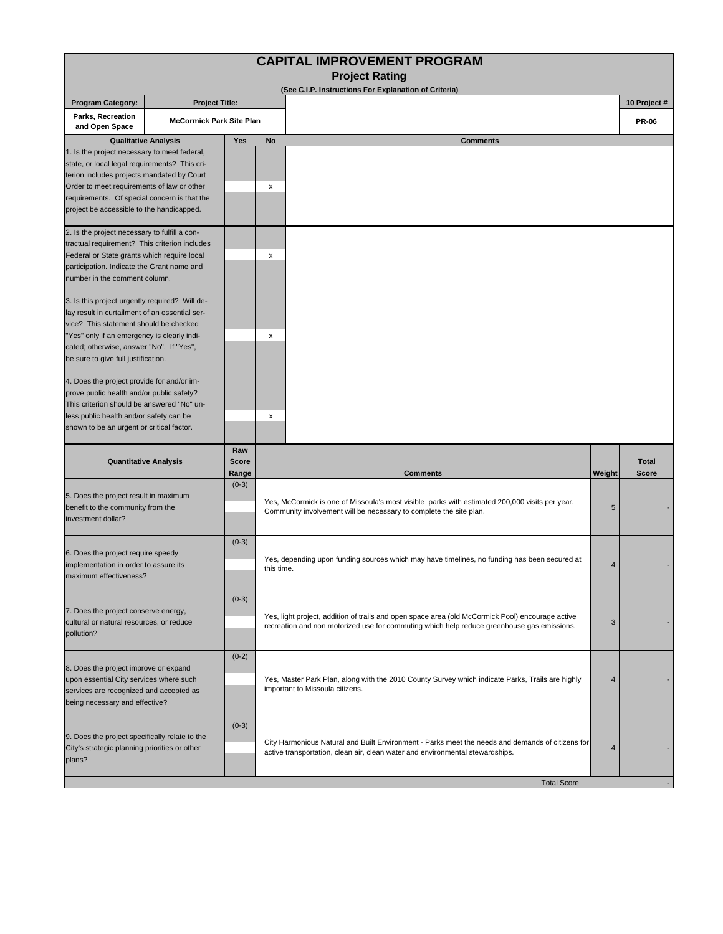|                                                                                                                                                                                                                                                                                        |                                 |                              | <b>CAPITAL IMPROVEMENT PROGRAM</b><br><b>Project Rating</b>                                                                                                                                    |                          |                |
|----------------------------------------------------------------------------------------------------------------------------------------------------------------------------------------------------------------------------------------------------------------------------------------|---------------------------------|------------------------------|------------------------------------------------------------------------------------------------------------------------------------------------------------------------------------------------|--------------------------|----------------|
|                                                                                                                                                                                                                                                                                        |                                 |                              | (See C.I.P. Instructions For Explanation of Criteria)                                                                                                                                          |                          |                |
| <b>Program Category:</b>                                                                                                                                                                                                                                                               | <b>Project Title:</b>           |                              |                                                                                                                                                                                                |                          | 10 Project #   |
| Parks, Recreation<br>and Open Space                                                                                                                                                                                                                                                    | <b>McCormick Park Site Plan</b> |                              |                                                                                                                                                                                                |                          | <b>PR-06</b>   |
| <b>Qualitative Analysis</b>                                                                                                                                                                                                                                                            |                                 | Yes                          | No<br><b>Comments</b>                                                                                                                                                                          |                          |                |
| 1. Is the project necessary to meet federal,<br>state, or local legal requirements? This cri-<br>terion includes projects mandated by Court<br>Order to meet requirements of law or other<br>requirements. Of special concern is that the<br>project be accessible to the handicapped. |                                 |                              | X                                                                                                                                                                                              |                          |                |
| 2. Is the project necessary to fulfill a con-<br>tractual requirement? This criterion includes<br>Federal or State grants which require local<br>participation. Indicate the Grant name and<br>number in the comment column.                                                           |                                 |                              | X                                                                                                                                                                                              |                          |                |
| 3. Is this project urgently required? Will de-<br>lay result in curtailment of an essential ser-<br>vice? This statement should be checked<br>"Yes" only if an emergency is clearly indi-<br>cated; otherwise, answer "No". If "Yes",<br>be sure to give full justification.           |                                 |                              | х                                                                                                                                                                                              |                          |                |
| 4. Does the project provide for and/or im-<br>prove public health and/or public safety?<br>This criterion should be answered "No" un-<br>less public health and/or safety can be<br>shown to be an urgent or critical factor.                                                          |                                 |                              | х                                                                                                                                                                                              |                          |                |
| <b>Quantitative Analysis</b>                                                                                                                                                                                                                                                           |                                 | Raw<br><b>Score</b><br>Range | <b>Comments</b>                                                                                                                                                                                | Weight                   | Total<br>Score |
| 5. Does the project result in maximum<br>benefit to the community from the<br>investment dollar?                                                                                                                                                                                       |                                 | $(0-3)$                      | Yes, McCormick is one of Missoula's most visible parks with estimated 200,000 visits per year.<br>Community involvement will be necessary to complete the site plan.                           |                          |                |
| 6. Does the project require speedy<br>implementation in order to assure its<br>maximum effectiveness?                                                                                                                                                                                  |                                 | $(0-3)$                      | Yes, depending upon funding sources which may have timelines, no funding has been secured at<br>this time.                                                                                     |                          |                |
| 7. Does the project conserve energy,<br>cultural or natural resources, or reduce<br>pollution?                                                                                                                                                                                         |                                 | $(0-3)$                      | Yes, light project, addition of trails and open space area (old McCormick Pool) encourage active<br>recreation and non motorized use for commuting which help reduce greenhouse gas emissions. |                          |                |
| 8. Does the project improve or expand<br>upon essential City services where such<br>services are recognized and accepted as<br>being necessary and effective?                                                                                                                          |                                 | $(0-2)$                      | Yes, Master Park Plan, along with the 2010 County Survey which indicate Parks, Trails are highly<br>important to Missoula citizens.                                                            |                          |                |
| 9. Does the project specifically relate to the<br>City's strategic planning priorities or other<br>plans?                                                                                                                                                                              |                                 | $(0-3)$                      | City Harmonious Natural and Built Environment - Parks meet the needs and demands of citizens for<br>active transportation, clean air, clean water and environmental stewardships.              | $\overline{\mathcal{A}}$ |                |
|                                                                                                                                                                                                                                                                                        |                                 |                              | <b>Total Score</b>                                                                                                                                                                             |                          |                |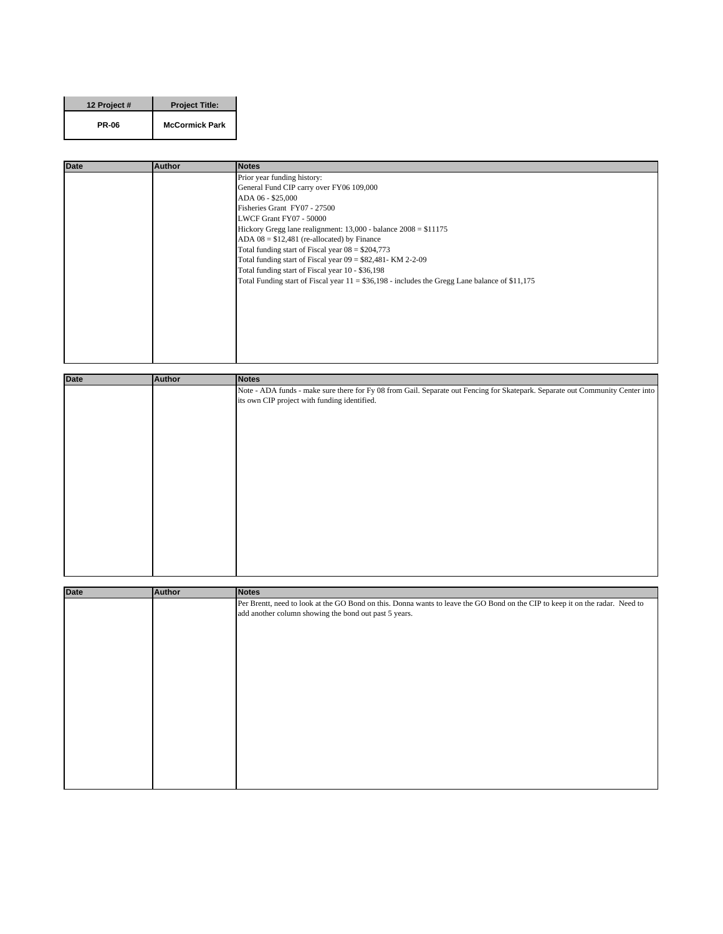| 12 Project # | <b>Project Title:</b> |
|--------------|-----------------------|
| <b>PR-06</b> | <b>McCormick Park</b> |

| <b>Author</b> | <b>Notes</b>                                                                                    |
|---------------|-------------------------------------------------------------------------------------------------|
|               | Prior year funding history:                                                                     |
|               | General Fund CIP carry over FY06 109,000                                                        |
|               | ADA 06 - \$25,000                                                                               |
|               | Fisheries Grant FY07 - 27500                                                                    |
|               | LWCF Grant FY07 - 50000                                                                         |
|               | Hickory Gregg lane realignment: $13,000$ - balance $2008 = $11175$                              |
|               | ADA $08 = $12,481$ (re-allocated) by Finance                                                    |
|               | Total funding start of Fiscal year $08 = $204,773$                                              |
|               | Total funding start of Fiscal year 09 = \$82,481- KM 2-2-09                                     |
|               | Total funding start of Fiscal year 10 - \$36,198                                                |
|               | Total Funding start of Fiscal year $11 = $36,198$ - includes the Gregg Lane balance of \$11,175 |
|               |                                                                                                 |
|               |                                                                                                 |
|               |                                                                                                 |
|               |                                                                                                 |
|               |                                                                                                 |
|               |                                                                                                 |
|               |                                                                                                 |
|               |                                                                                                 |

| <b>Date</b> | <b>Author</b> | <b>Notes</b>                                                                                                                   |
|-------------|---------------|--------------------------------------------------------------------------------------------------------------------------------|
|             |               | Note - ADA funds - make sure there for Fy 08 from Gail. Separate out Fencing for Skatepark. Separate out Community Center into |
|             |               | its own CIP project with funding identified.                                                                                   |
|             |               |                                                                                                                                |
|             |               |                                                                                                                                |
|             |               |                                                                                                                                |
|             |               |                                                                                                                                |
|             |               |                                                                                                                                |
|             |               |                                                                                                                                |
|             |               |                                                                                                                                |
|             |               |                                                                                                                                |
|             |               |                                                                                                                                |
|             |               |                                                                                                                                |
|             |               |                                                                                                                                |
|             |               |                                                                                                                                |
|             |               |                                                                                                                                |
|             |               |                                                                                                                                |
|             |               |                                                                                                                                |
|             |               |                                                                                                                                |

| Date | <b>Author</b> | <b>Notes</b>                                                                                                                  |
|------|---------------|-------------------------------------------------------------------------------------------------------------------------------|
|      |               | Per Brentt, need to look at the GO Bond on this. Donna wants to leave the GO Bond on the CIP to keep it on the radar. Need to |
|      |               | add another column showing the bond out past 5 years.                                                                         |
|      |               |                                                                                                                               |
|      |               |                                                                                                                               |
|      |               |                                                                                                                               |
|      |               |                                                                                                                               |
|      |               |                                                                                                                               |
|      |               |                                                                                                                               |
|      |               |                                                                                                                               |
|      |               |                                                                                                                               |
|      |               |                                                                                                                               |
|      |               |                                                                                                                               |
|      |               |                                                                                                                               |
|      |               |                                                                                                                               |
|      |               |                                                                                                                               |
|      |               |                                                                                                                               |
|      |               |                                                                                                                               |
|      |               |                                                                                                                               |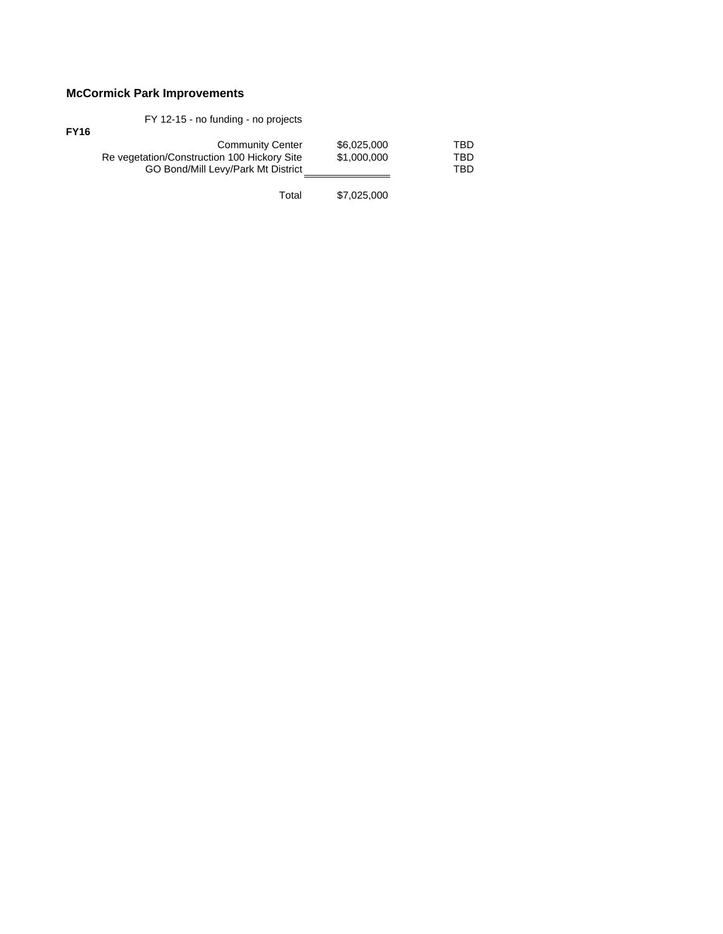## **McCormick Park Improvements**

| <b>FY16</b> | FY 12-15 - no funding - no projects                                                                          |                            |                   |
|-------------|--------------------------------------------------------------------------------------------------------------|----------------------------|-------------------|
|             | <b>Community Center</b><br>Re vegetation/Construction 100 Hickory Site<br>GO Bond/Mill Levy/Park Mt District | \$6,025,000<br>\$1,000,000 | TBD<br>TBD<br>TBD |
|             | Total                                                                                                        | \$7,025,000                |                   |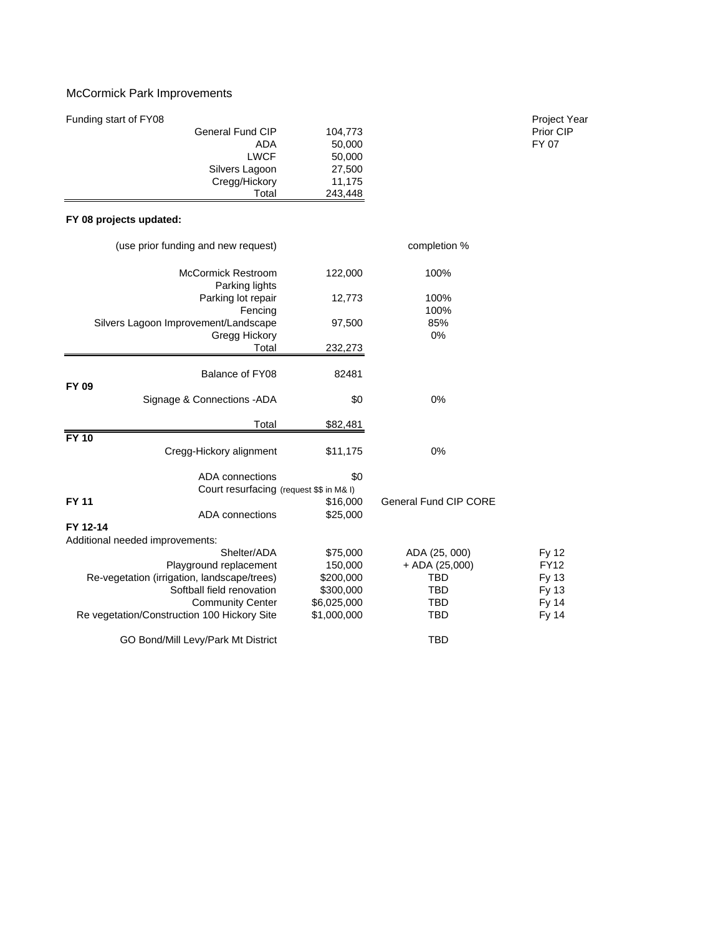## McCormick Park Improvements

| Funding start of FY08   |         | <b>Project Year</b> |
|-------------------------|---------|---------------------|
| <b>General Fund CIP</b> | 104,773 | Prior CIP           |
| ADA                     | 50,000  | FY 07               |
| LWCF                    | 50,000  |                     |
| Silvers Lagoon          | 27,500  |                     |
| Cregg/Hickory           | 11.175  |                     |
| Total                   | 243,448 |                     |

## **FY 08 projects updated:**

| (use prior funding and new request)         |             | completion %                 |              |  |
|---------------------------------------------|-------------|------------------------------|--------------|--|
| <b>McCormick Restroom</b><br>Parking lights | 122,000     | 100%                         |              |  |
| Parking lot repair                          | 12,773      | 100%                         |              |  |
| Fencing                                     |             | 100%                         |              |  |
| Silvers Lagoon Improvement/Landscape        | 97,500      | 85%                          |              |  |
| Gregg Hickory                               |             | 0%                           |              |  |
| Total                                       | 232,273     |                              |              |  |
| Balance of FY08                             | 82481       |                              |              |  |
| <b>FY 09</b>                                |             |                              |              |  |
| Signage & Connections - ADA                 | \$0         | 0%                           |              |  |
| Total                                       | \$82,481    |                              |              |  |
| <b>FY 10</b>                                |             |                              |              |  |
| Cregg-Hickory alignment                     | \$11,175    | 0%                           |              |  |
| ADA connections                             | \$0         |                              |              |  |
| Court resurfacing (request \$\$ in M& I)    |             |                              |              |  |
| <b>FY 11</b>                                | \$16,000    | <b>General Fund CIP CORE</b> |              |  |
| ADA connections                             | \$25,000    |                              |              |  |
| FY 12-14                                    |             |                              |              |  |
| Additional needed improvements:             |             |                              |              |  |
| Shelter/ADA                                 | \$75,000    | ADA (25, 000)                | Fy 12        |  |
| Playground replacement                      | 150,000     | $+$ ADA (25,000)             | <b>FY12</b>  |  |
| Re-vegetation (irrigation, landscape/trees) | \$200,000   | TBD                          | Fy 13        |  |
| Softball field renovation                   | \$300,000   | <b>TBD</b>                   | Fy 13        |  |
| <b>Community Center</b>                     | \$6,025,000 | <b>TBD</b>                   | <b>Fy 14</b> |  |
| Re vegetation/Construction 100 Hickory Site | \$1,000,000 | <b>TBD</b>                   | Fy 14        |  |
| GO Bond/Mill Levy/Park Mt District          |             | <b>TBD</b>                   |              |  |